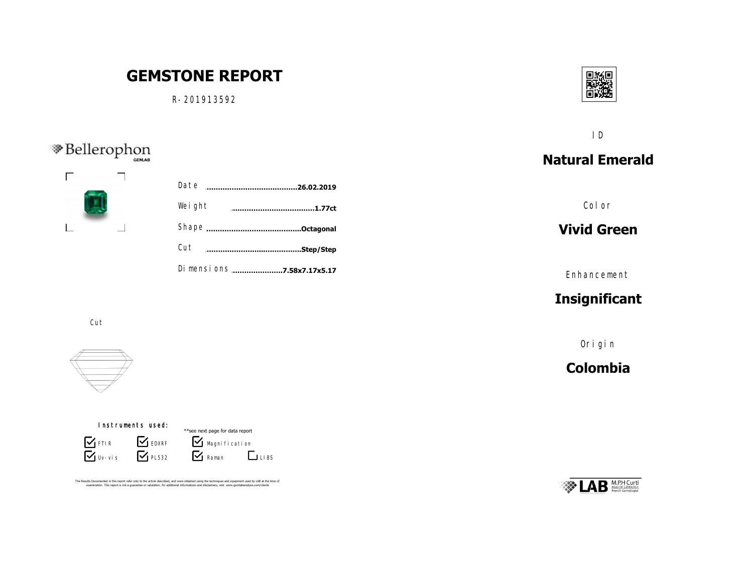# **GEMSTONE REPORT**

R-201913592

Weight



## **Natural Emerald** ID

Color

#### **Vivid Green**

Enhancement

## **Insignificant**

Origin

#### **Colombia**

## M.P.H Curti

Cut

R-201913592 A.jpg S-3403A.jpg S-3403A.jpgS-3403A.jpg S-3403A.jpgS-3403A.jpg  $\sim$  3403 $\sim$  3403 $\sim$ S-3403A.jpgS-3403A.jpg S-3403A.jpgS-3403A.jpg S-3403A.jpgS-3403A.jpg S-3403A.jpgS-3403A.jpg

 $\textcircled{\textsf{Re}ll}$ erophon



#### Instruments used:

 $\sum$ Uv-vis **S** FTIR **S** EDXRF  $\mathbf{V}$  PL532

 $\overline{\mathbf{Y}}$  Raman  $\blacksquare$  Magnification \*\*see next page for data report  $L_{\text{LIBS}}$ 

Cut **……………………...…………….Step/Step**

Shape **……………………………………..Octagonal**

**………………………………………………………………………………1.77ct**

Date **……………………………………………………………….26.02.2019**

Dimensions ......................**7.58x7.17x5.17** 

The Results Documented in this report refer only to the article described, and were obtained using the techniques and equipment used by LAB at the time of<br>examination. This report is not a quarantee or valutation. for addi